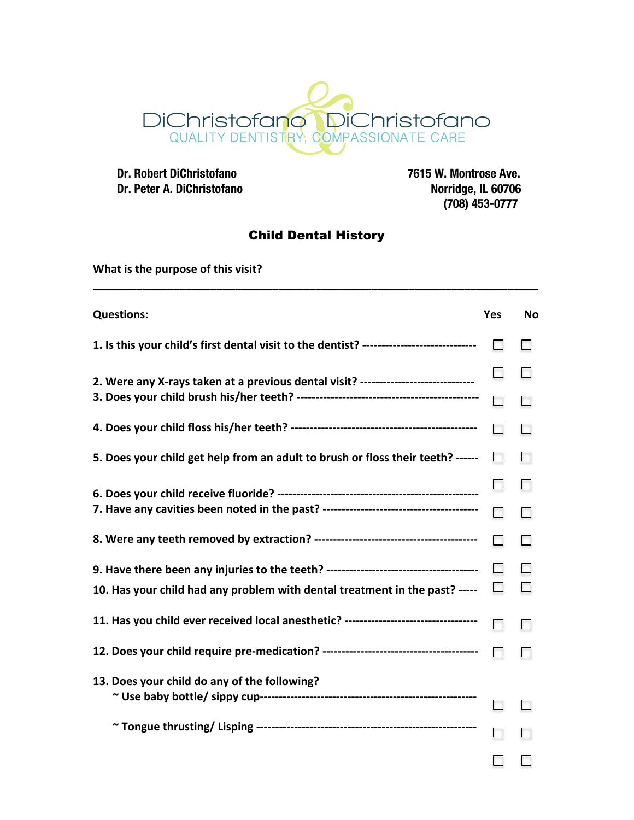

 **Dr. Robert DiChristofano 7615 W. Montrose Ave. Dr. Peter A. DiChristofano** 

 **(708) 453-0777**

## Child Dental History

**\_\_\_\_\_\_\_\_\_\_\_\_\_\_\_\_\_\_\_\_\_\_\_\_\_\_\_\_\_\_\_\_\_\_\_\_\_\_\_\_\_\_\_\_\_\_\_\_\_\_\_\_\_\_\_\_\_\_\_\_\_\_\_\_\_\_\_\_\_\_\_\_**

**What is the purpose of this visit?** 

| <b>Questions:</b>                                                                       | Yes    | <b>No</b> |
|-----------------------------------------------------------------------------------------|--------|-----------|
| 1. Is this your child's first dental visit to the dentist? ---------------------------- | п      |           |
| 2. Were any X-rays taken at a previous dental visit? ----------------------------       |        |           |
|                                                                                         | n      |           |
|                                                                                         | $\Box$ |           |
| 5. Does your child get help from an adult to brush or floss their teeth? ------         | $\Box$ |           |
|                                                                                         |        |           |
|                                                                                         | П      | П         |
|                                                                                         | n      |           |
|                                                                                         | п      |           |
| 10. Has your child had any problem with dental treatment in the past? -----             | $\Box$ |           |
| 11. Has you child ever received local anesthetic? --------------------------------      | п      |           |
|                                                                                         | п      |           |
| 13. Does your child do any of the following?                                            |        |           |
|                                                                                         |        |           |
|                                                                                         |        |           |
|                                                                                         |        |           |